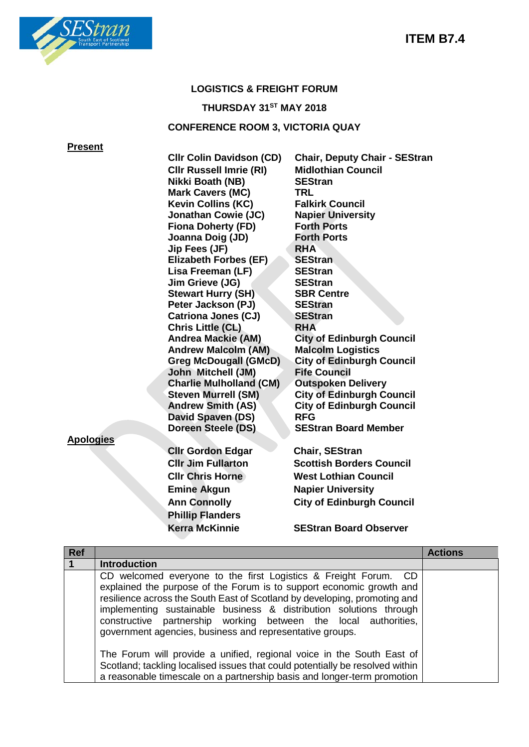

### **LOGISTICS & FREIGHT FORUM**

# **THURSDAY 31ST MAY 2018**

## **CONFERENCE ROOM 3, VICTORIA QUAY**

**Present**

|                  | <b>CIIr Colin Davidson (CD)</b> | <b>Chair, Deputy Chair - SEStran</b> |
|------------------|---------------------------------|--------------------------------------|
|                  | <b>CIIr Russell Imrie (RI)</b>  | <b>Midlothian Council</b>            |
|                  | Nikki Boath (NB)                | <b>SEStran</b>                       |
|                  | <b>Mark Cavers (MC)</b>         | TRL                                  |
|                  | <b>Kevin Collins (KC)</b>       | <b>Falkirk Council</b>               |
|                  | <b>Jonathan Cowie (JC)</b>      | <b>Napier University</b>             |
|                  | <b>Fiona Doherty (FD)</b>       | <b>Forth Ports</b>                   |
|                  | Joanna Doig (JD)                | <b>Forth Ports</b>                   |
|                  | Jip Fees (JF)                   | <b>RHA</b>                           |
|                  | <b>Elizabeth Forbes (EF)</b>    | <b>SEStran</b>                       |
|                  | Lisa Freeman (LF)               | <b>SEStran</b>                       |
|                  | Jim Grieve (JG)                 | <b>SEStran</b>                       |
|                  | <b>Stewart Hurry (SH)</b>       | <b>SBR Centre</b>                    |
|                  | Peter Jackson (PJ)              | <b>SEStran</b>                       |
|                  | <b>Catriona Jones (CJ)</b>      | <b>SEStran</b>                       |
|                  | Chris Little (CL)               | <b>RHA</b>                           |
|                  | <b>Andrea Mackie (AM)</b>       | <b>City of Edinburgh Council</b>     |
|                  | <b>Andrew Malcolm (AM)</b>      | <b>Malcolm Logistics</b>             |
|                  | <b>Greg McDougall (GMcD)</b>    | <b>City of Edinburgh Council</b>     |
|                  | John Mitchell (JM)              | <b>Fife Council</b>                  |
|                  | <b>Charlie Mulholland (CM)</b>  | <b>Outspoken Delivery</b>            |
|                  | <b>Steven Murrell (SM)</b>      | <b>City of Edinburgh Council</b>     |
|                  | <b>Andrew Smith (AS)</b>        | <b>City of Edinburgh Council</b>     |
|                  | David Spaven (DS)               | <b>RFG</b>                           |
|                  | Doreen Steele (DS)              | <b>SEStran Board Member</b>          |
| <b>Apologies</b> |                                 |                                      |
|                  | <b>Clir Gordon Edgar</b>        | <b>Chair, SEStran</b>                |
|                  | <b>CIIr Jim Fullarton</b>       | <b>Scottish Borders Council</b>      |
|                  | <b>CIIr Chris Horne</b>         | <b>West Lothian Council</b>          |
|                  |                                 |                                      |
|                  | <b>Emine Akgun</b>              | <b>Napier University</b>             |
|                  | <b>Ann Connolly</b>             | <b>City of Edinburgh Council</b>     |
|                  | <b>Phillip Flanders</b>         |                                      |
|                  | <b>Kerra McKinnie</b>           | <b>SEStran Board Observer</b>        |
|                  |                                 |                                      |

| <b>Ref</b>  |                                                                                                                                                                                                                                                                                                                                                                                                                           | <b>Actions</b> |
|-------------|---------------------------------------------------------------------------------------------------------------------------------------------------------------------------------------------------------------------------------------------------------------------------------------------------------------------------------------------------------------------------------------------------------------------------|----------------|
| $\mathbf 1$ | <b>Introduction</b>                                                                                                                                                                                                                                                                                                                                                                                                       |                |
|             | CD welcomed everyone to the first Logistics & Freight Forum. CD<br>explained the purpose of the Forum is to support economic growth and<br>resilience across the South East of Scotland by developing, promoting and<br>implementing sustainable business & distribution solutions through<br>constructive partnership working between the local authorities,<br>government agencies, business and representative groups. |                |
|             | The Forum will provide a unified, regional voice in the South East of<br>Scotland; tackling localised issues that could potentially be resolved within                                                                                                                                                                                                                                                                    |                |
|             | a reasonable timescale on a partnership basis and longer-term promotion                                                                                                                                                                                                                                                                                                                                                   |                |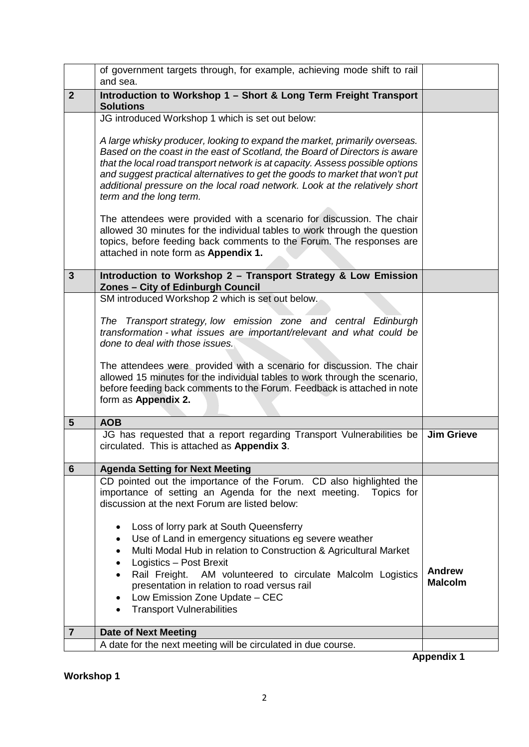|                | of government targets through, for example, achieving mode shift to rail<br>and sea.                                                                                                                                                                                    |                   |
|----------------|-------------------------------------------------------------------------------------------------------------------------------------------------------------------------------------------------------------------------------------------------------------------------|-------------------|
| $\overline{2}$ | Introduction to Workshop 1 - Short & Long Term Freight Transport<br><b>Solutions</b>                                                                                                                                                                                    |                   |
|                | JG introduced Workshop 1 which is set out below:<br>A large whisky producer, looking to expand the market, primarily overseas.<br>Based on the coast in the east of Scotland, the Board of Directors is aware                                                           |                   |
|                | that the local road transport network is at capacity. Assess possible options<br>and suggest practical alternatives to get the goods to market that won't put<br>additional pressure on the local road network. Look at the relatively short<br>term and the long term. |                   |
|                | The attendees were provided with a scenario for discussion. The chair<br>allowed 30 minutes for the individual tables to work through the question<br>topics, before feeding back comments to the Forum. The responses are<br>attached in note form as Appendix 1.      |                   |
| $\mathbf{3}$   | Introduction to Workshop 2 - Transport Strategy & Low Emission<br>Zones - City of Edinburgh Council                                                                                                                                                                     |                   |
|                | SM introduced Workshop 2 which is set out below.                                                                                                                                                                                                                        |                   |
|                | The Transport strategy, low emission zone and central Edinburgh<br>transformation - what issues are important/relevant and what could be<br>done to deal with those issues.                                                                                             |                   |
|                | The attendees were provided with a scenario for discussion. The chair<br>allowed 15 minutes for the individual tables to work through the scenario,<br>before feeding back comments to the Forum. Feedback is attached in note<br>form as Appendix 2.                   |                   |
| $5\phantom{1}$ | <b>AOB</b>                                                                                                                                                                                                                                                              |                   |
|                | JG has requested that a report regarding Transport Vulnerabilities be<br>circulated. This is attached as Appendix 3.                                                                                                                                                    | <b>Jim Grieve</b> |
| $6\phantom{1}$ | <b>Agenda Setting for Next Meeting</b>                                                                                                                                                                                                                                  |                   |
|                | CD pointed out the importance of the Forum. CD also highlighted the<br>importance of setting an Agenda for the next meeting. Topics for<br>discussion at the next Forum are listed below:                                                                               |                   |
|                | Loss of lorry park at South Queensferry<br>$\bullet$<br>Use of Land in emergency situations eg severe weather<br>$\bullet$                                                                                                                                              |                   |
|                | Multi Modal Hub in relation to Construction & Agricultural Market<br>$\bullet$                                                                                                                                                                                          |                   |
|                | Logistics - Post Brexit<br>٠<br>AM volunteered to circulate Malcolm Logistics<br>Rail Freight.<br>$\bullet$                                                                                                                                                             | <b>Andrew</b>     |
|                | presentation in relation to road versus rail                                                                                                                                                                                                                            | <b>Malcolm</b>    |
|                | Low Emission Zone Update - CEC<br>$\bullet$<br><b>Transport Vulnerabilities</b>                                                                                                                                                                                         |                   |
| $\overline{7}$ | <b>Date of Next Meeting</b>                                                                                                                                                                                                                                             |                   |
|                | A date for the next meeting will be circulated in due course.                                                                                                                                                                                                           |                   |
|                |                                                                                                                                                                                                                                                                         |                   |

**Appendix 1**

**Workshop 1**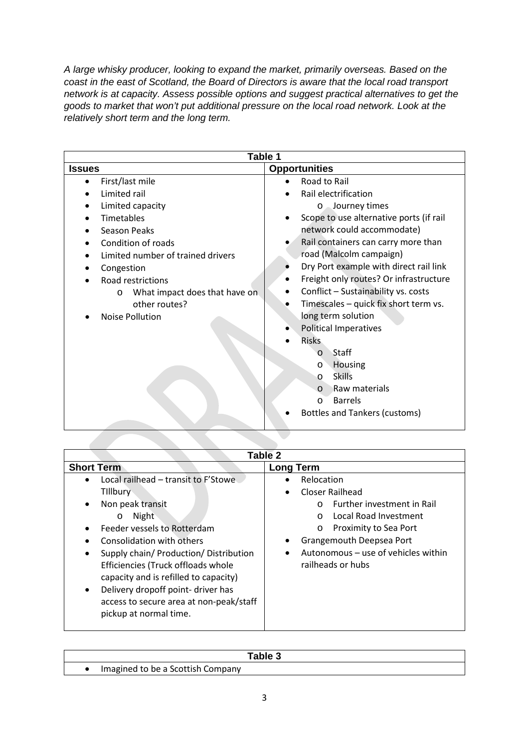*A large whisky producer, looking to expand the market, primarily overseas. Based on the coast in the east of Scotland, the Board of Directors is aware that the local road transport network is at capacity. Assess possible options and suggest practical alternatives to get the goods to market that won't put additional pressure on the local road network. Look at the relatively short term and the long term.*

| Table 1                                  |                                             |
|------------------------------------------|---------------------------------------------|
| <b>Issues</b>                            | <b>Opportunities</b>                        |
| First/last mile                          | Road to Rail                                |
| Limited rail                             | Rail electrification                        |
| Limited capacity                         | o Journey times                             |
| <b>Timetables</b>                        | Scope to use alternative ports (if rail     |
| Season Peaks                             | network could accommodate)                  |
| Condition of roads                       | Rail containers can carry more than         |
| Limited number of trained drivers        | road (Malcolm campaign)                     |
| Congestion                               | Dry Port example with direct rail link      |
| Road restrictions                        | Freight only routes? Or infrastructure<br>٠ |
| What impact does that have on<br>$\circ$ | Conflict - Sustainability vs. costs         |
| other routes?                            | Timescales - quick fix short term vs.       |
| <b>Noise Pollution</b>                   | long term solution                          |
|                                          | <b>Political Imperatives</b>                |
|                                          | <b>Risks</b>                                |
|                                          | Staff<br>$\circ$                            |
|                                          | Housing<br>$\circ$                          |
|                                          | <b>Skills</b><br>$\circ$                    |
|                                          | Raw materials<br>$\circ$                    |
|                                          | <b>Barrels</b><br>$\circ$                   |
|                                          | <b>Bottles and Tankers (customs)</b>        |
|                                          |                                             |

| Table 2                                                                                                                                                                                                                                                                                                                                                                                                 |                                                                                                                                                                                                                                               |
|---------------------------------------------------------------------------------------------------------------------------------------------------------------------------------------------------------------------------------------------------------------------------------------------------------------------------------------------------------------------------------------------------------|-----------------------------------------------------------------------------------------------------------------------------------------------------------------------------------------------------------------------------------------------|
| <b>Short Term</b>                                                                                                                                                                                                                                                                                                                                                                                       | Long Term                                                                                                                                                                                                                                     |
| Local railhead - transit to F'Stowe<br><b>Tillbury</b><br>Non peak transit<br>Night<br>$\circ$<br>Feeder vessels to Rotterdam<br>Consolidation with others<br>Supply chain/ Production/ Distribution<br>٠<br>Efficiencies (Truck offloads whole<br>capacity and is refilled to capacity)<br>Delivery dropoff point-driver has<br>٠<br>access to secure area at non-peak/staff<br>pickup at normal time. | Relocation<br>Closer Railhead<br><b>Further investment in Rail</b><br>$\Omega$<br>Local Road Investment<br>$\cap$<br>Proximity to Sea Port<br>$\circ$<br>Grangemouth Deepsea Port<br>Autonomous – use of vehicles within<br>railheads or hubs |

|                                   | Table 3 |
|-----------------------------------|---------|
| Imagined to be a Scottish Company |         |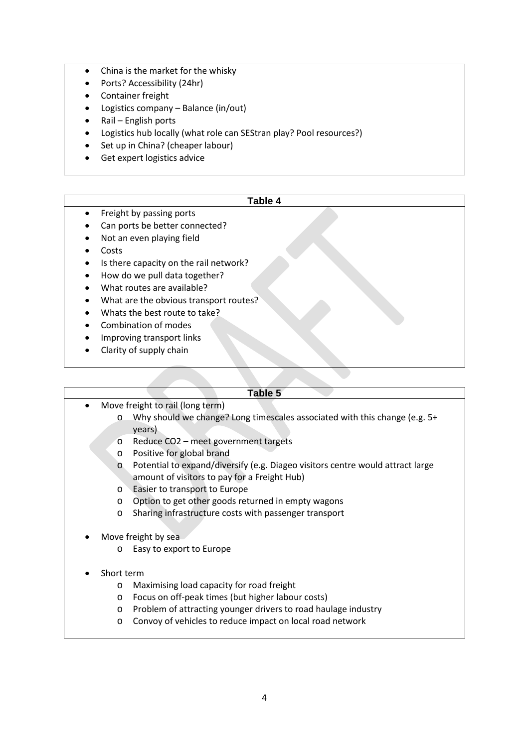- China is the market for the whisky
- Ports? Accessibility (24hr)
- Container freight
- Logistics company Balance (in/out)
- Rail English ports
- Logistics hub locally (what role can SEStran play? Pool resources?)
- Set up in China? (cheaper labour)
- Get expert logistics advice

### **Table 4**

- Freight by passing ports
- Can ports be better connected?
- Not an even playing field
- Costs
- Is there capacity on the rail network?
- How do we pull data together?
- What routes are available?
- What are the obvious transport routes?
- Whats the best route to take?
- Combination of modes
- Improving transport links
- Clarity of supply chain

#### **Table 5**

- Move freight to rail (long term)
	- o Why should we change? Long timescales associated with this change (e.g. 5+ years)
	- o Reduce CO2 meet government targets
	- o Positive for global brand
	- o Potential to expand/diversify (e.g. Diageo visitors centre would attract large amount of visitors to pay for a Freight Hub)
	- o Easier to transport to Europe
	- o Option to get other goods returned in empty wagons
	- o Sharing infrastructure costs with passenger transport
- Move freight by sea
	- o Easy to export to Europe
- Short term
	- o Maximising load capacity for road freight
	- o Focus on off-peak times (but higher labour costs)
	- o Problem of attracting younger drivers to road haulage industry
	- o Convoy of vehicles to reduce impact on local road network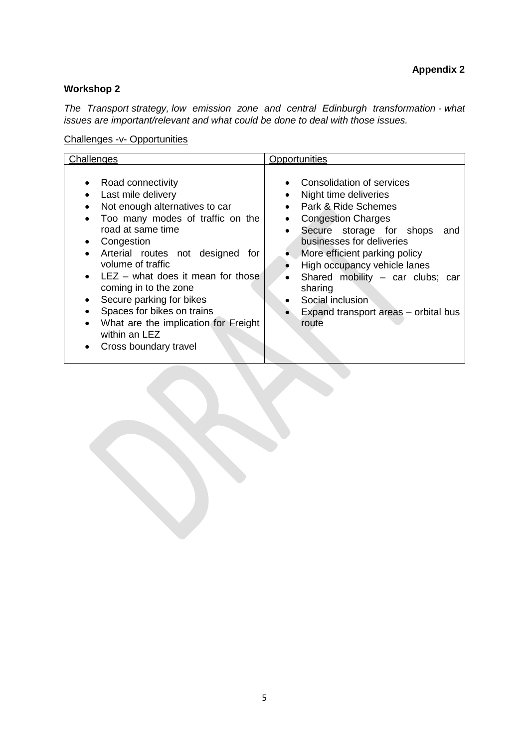### **Workshop 2**

*The Transport strategy, low emission zone and central Edinburgh transformation - what issues are important/relevant and what could be done to deal with those issues.*

Challenges -v- Opportunities

| Consolidation of services<br>Road connectivity<br>Last mile delivery<br>Night time deliveries<br>Park & Ride Schemes<br>Not enough alternatives to car                                                                                                                                                                                                                                                                                                                         | Challenges                       | Opportunities                                                                                                |
|--------------------------------------------------------------------------------------------------------------------------------------------------------------------------------------------------------------------------------------------------------------------------------------------------------------------------------------------------------------------------------------------------------------------------------------------------------------------------------|----------------------------------|--------------------------------------------------------------------------------------------------------------|
| road at same time<br>Secure storage for shops<br>businesses for deliveries<br>Congestion<br>Arterial routes not designed<br>More efficient parking policy<br>for<br>volume of traffic<br>High occupancy vehicle lanes<br>$LEZ -$ what does it mean for those<br>coming in to the zone<br>sharing<br>Secure parking for bikes<br>Social inclusion<br>٠<br>Spaces for bikes on trains<br>What are the implication for Freight<br>route<br>within an LEZ<br>Cross boundary travel | Too many modes of traffic on the | <b>Congestion Charges</b><br>and<br>Shared mobility - car clubs; car<br>Expand transport areas – orbital bus |